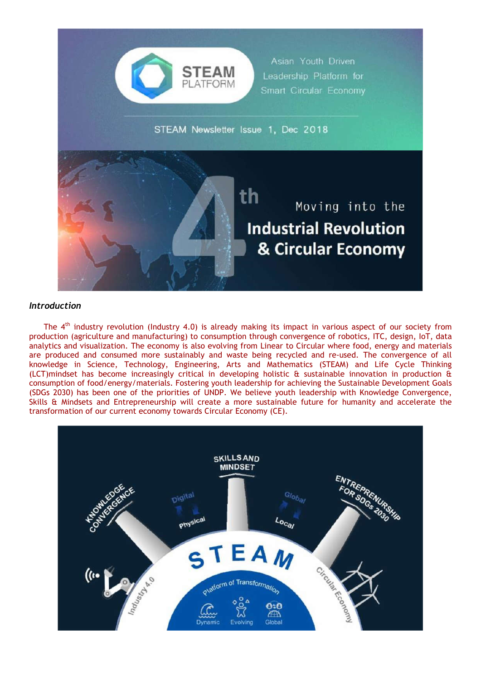

## *Introduction*

The  $4<sup>th</sup>$  industry revolution (Industry 4.0) is already making its impact in various aspect of our society from production (agriculture and manufacturing) to consumption through convergence of robotics, ITC, design, IoT, data analytics and visualization. The economy is also evolving from Linear to Circular where food, energy and materials are produced and consumed more sustainably and waste being recycled and re-used. The convergence of all knowledge in Science, Technology, Engineering, Arts and Mathematics (STEAM) and Life Cycle Thinking (LCT)mindset has become increasingly critical in developing holistic & sustainable innovation in production & consumption of food/energy/materials. Fostering youth leadership for achieving the Sustainable Development Goals (SDGs 2030) has been one of the priorities of UNDP. We believe youth leadership with Knowledge Convergence, Skills & Mindsets and Entrepreneurship will create a more sustainable future for humanity and accelerate the transformation of our current economy towards Circular Economy (CE).

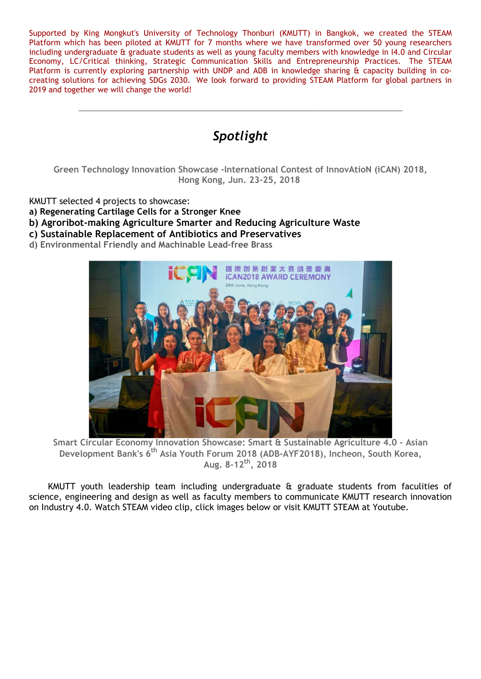Supported by King Mongkut's University of Technology Thonburi (KMUTT) in Bangkok, we created the STEAM Platform which has been piloted at KMUTT for 7 months where we have transformed over 50 young researchers including undergraduate & graduate students as well as young faculty members with knowledge in I4.0 and Circular Economy, LC/Critical thinking, Strategic Communication Skills and Entrepreneurship Practices. The STEAM Platform is currently exploring partnership with UNDP and ADB in knowledge sharing & capacity building in cocreating solutions for achieving SDGs 2030. We look forward to providing STEAM Platform for global partners in 2019 and together we will change the world!



- **b) Agroribot-making Agriculture Smarter and Reducing Agriculture Waste**
- **c) Sustainable Replacement of Antibiotics and Preservatives**
- **d) Environmental Friendly and Machinable Lead-free Brass**



**Smart Circular Economy Innovation Showcase: Smart & Sustainable Agriculture 4.0 - Asian Development Bank's 6th Asia Youth Forum 2018 (ADB-AYF2018), Incheon, South Korea, Aug. 8-12th, 2018**

KMUTT youth leadership team including undergraduate & graduate students from faculities of science, engineering and design as well as faculty members to communicate KMUTT research innovation on Industry 4.0. Watch STEAM video clip, click images below or visit KMUTT STEAM at Youtube.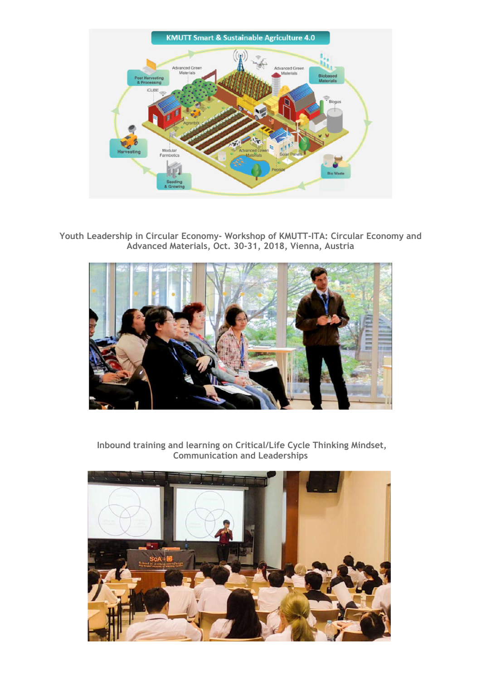

**Youth Leadership in Circular Economy- Workshop of KMUTT-ITA: Circular Economy and Advanced Materials, Oct. 30-31, 2018, Vienna, Austria**



**Inbound training and learning on Critical/Life Cycle Thinking Mindset, Communication and Leaderships**